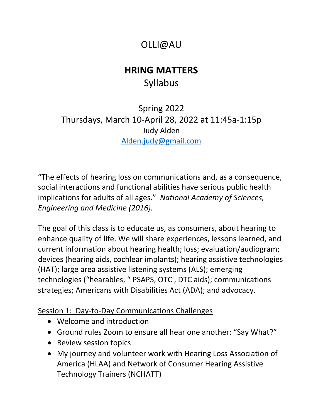# OLLI@AU

# **HRING MATTERS** Syllabus

Spring 2022 Thursdays, March 10-April 28, 2022 at 11:45a-1:15p Judy Alden [Alden.judy@gmail.com](mailto:Alden.judy@gmail.com)

"The effects of hearing loss on communications and, as a consequence, social interactions and functional abilities have serious public health implications for adults of all ages." *National Academy of Sciences, Engineering and Medicine (2016).*

The goal of this class is to educate us, as consumers, about hearing to enhance quality of life. We will share experiences, lessons learned, and current information about hearing health; loss; evaluation/audiogram; devices (hearing aids, cochlear implants); hearing assistive technologies (HAT); large area assistive listening systems (ALS); emerging technologies ("hearables, " PSAPS, OTC , DTC aids); communications strategies; Americans with Disabilities Act (ADA); and advocacy.

Session 1: Day-to-Day Communications Challenges

- Welcome and introduction
- Ground rules Zoom to ensure all hear one another: "Say What?"
- Review session topics
- My journey and volunteer work with Hearing Loss Association of America (HLAA) and Network of Consumer Hearing Assistive Technology Trainers (NCHATT)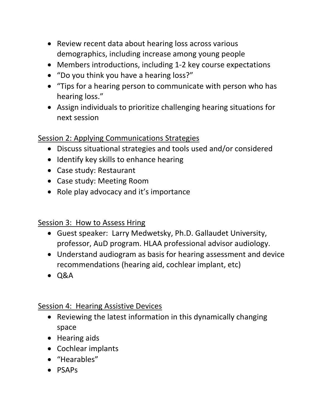- Review recent data about hearing loss across various demographics, including increase among young people
- Members introductions, including 1-2 key course expectations
- "Do you think you have a hearing loss?"
- "Tips for a hearing person to communicate with person who has hearing loss."
- Assign individuals to prioritize challenging hearing situations for next session

# Session 2: Applying Communications Strategies

- Discuss situational strategies and tools used and/or considered
- Identify key skills to enhance hearing
- Case study: Restaurant
- Case study: Meeting Room
- Role play advocacy and it's importance

Session 3: How to Assess Hring

- Guest speaker: Larry Medwetsky, Ph.D. Gallaudet University, professor, AuD program. HLAA professional advisor audiology.
- Understand audiogram as basis for hearing assessment and device recommendations (hearing aid, cochlear implant, etc)
- Q&A

# Session 4: Hearing Assistive Devices

- Reviewing the latest information in this dynamically changing space
- Hearing aids
- Cochlear implants
- "Hearables"
- PSAPs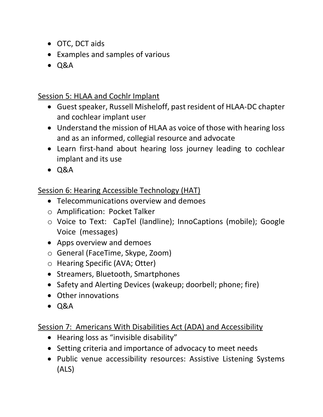- OTC, DCT aids
- Examples and samples of various
- Q&A

#### Session 5: HLAA and Cochlr Implant

- Guest speaker, Russell Misheloff, past resident of HLAA-DC chapter and cochlear implant user
- Understand the mission of HLAA as voice of those with hearing loss and as an informed, collegial resource and advocate
- Learn first-hand about hearing loss journey leading to cochlear implant and its use
- Q&A

# Session 6: Hearing Accessible Technology (HAT)

- Telecommunications overview and demoes
- o Amplification: Pocket Talker
- o Voice to Text: CapTel (landline); InnoCaptions (mobile); Google Voice (messages)
- Apps overview and demoes
- o General (FaceTime, Skype, Zoom)
- o Hearing Specific (AVA; Otter)
- Streamers, Bluetooth, Smartphones
- Safety and Alerting Devices (wakeup; doorbell; phone; fire)
- Other innovations
- Q&A

# Session 7: Americans With Disabilities Act (ADA) and Accessibility

- Hearing loss as "invisible disability"
- Setting criteria and importance of advocacy to meet needs
- Public venue accessibility resources: Assistive Listening Systems (ALS)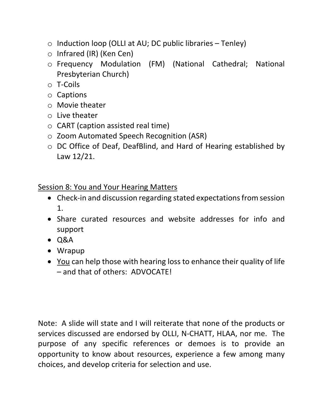- $\circ$  Induction loop (OLLI at AU; DC public libraries Tenley)
- o Infrared (IR) (Ken Cen)
- o Frequency Modulation (FM) (National Cathedral; National Presbyterian Church)
- o T-Coils
- o Captions
- o Movie theater
- o Live theater
- $\circ$  CART (caption assisted real time)
- o Zoom Automated Speech Recognition (ASR)
- o DC Office of Deaf, DeafBlind, and Hard of Hearing established by Law 12/21.

#### Session 8: You and Your Hearing Matters

- Check-in and discussion regarding stated expectations from session 1.
- Share curated resources and website addresses for info and support
- Q&A
- Wrapup
- You can help those with hearing loss to enhance their quality of life – and that of others: ADVOCATE!

Note: A slide will state and I will reiterate that none of the products or services discussed are endorsed by OLLI, N-CHATT, HLAA, nor me. The purpose of any specific references or demoes is to provide an opportunity to know about resources, experience a few among many choices, and develop criteria for selection and use.